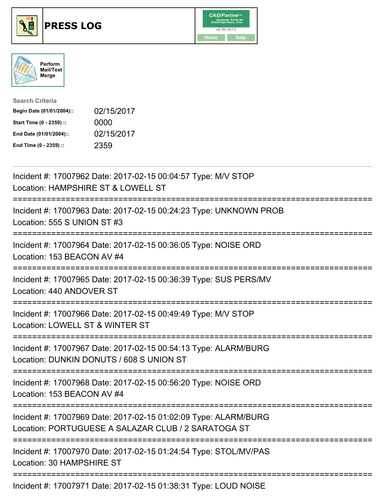





| <b>Search Criteria</b>    |            |
|---------------------------|------------|
| Begin Date (01/01/2004):: | 02/15/2017 |
| Start Time (0 - 2359) ::  | 0000       |
| End Date (01/01/2004)::   | 02/15/2017 |
| End Time (0 - 2359) ::    | 2359       |

| Incident #: 17007962 Date: 2017-02-15 00:04:57 Type: M/V STOP<br>Location: HAMPSHIRE ST & LOWELL ST                                         |
|---------------------------------------------------------------------------------------------------------------------------------------------|
| Incident #: 17007963 Date: 2017-02-15 00:24:23 Type: UNKNOWN PROB<br>Location: 555 S UNION ST #3                                            |
| Incident #: 17007964 Date: 2017-02-15 00:36:05 Type: NOISE ORD<br>Location: 153 BEACON AV #4                                                |
| Incident #: 17007965 Date: 2017-02-15 00:36:39 Type: SUS PERS/MV<br>Location: 440 ANDOVER ST                                                |
| Incident #: 17007966 Date: 2017-02-15 00:49:49 Type: M/V STOP<br>Location: LOWELL ST & WINTER ST<br>=======================                 |
| Incident #: 17007967 Date: 2017-02-15 00:54:13 Type: ALARM/BURG<br>Location: DUNKIN DONUTS / 608 S UNION ST<br>:=========================== |
| Incident #: 17007968 Date: 2017-02-15 00:56:20 Type: NOISE ORD<br>Location: 153 BEACON AV #4<br>----------------------                      |
| Incident #: 17007969 Date: 2017-02-15 01:02:09 Type: ALARM/BURG<br>Location: PORTUGUESE A SALAZAR CLUB / 2 SARATOGA ST                      |
| Incident #: 17007970 Date: 2017-02-15 01:24:54 Type: STOL/MV/PAS<br>Location: 30 HAMPSHIRE ST                                               |
| Incident #: 17007971 Date: 2017-02-15 01:38:31 Type: LOUD NOISE                                                                             |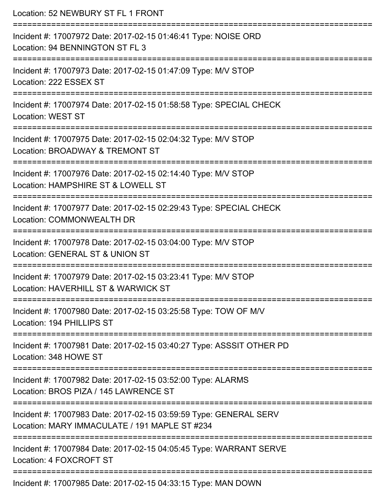| Location: 52 NEWBURY ST FL 1 FRONT                                                                                                   |
|--------------------------------------------------------------------------------------------------------------------------------------|
| Incident #: 17007972 Date: 2017-02-15 01:46:41 Type: NOISE ORD<br>Location: 94 BENNINGTON ST FL 3<br>----------------------          |
| Incident #: 17007973 Date: 2017-02-15 01:47:09 Type: M/V STOP<br>Location: 222 ESSEX ST                                              |
| Incident #: 17007974 Date: 2017-02-15 01:58:58 Type: SPECIAL CHECK<br><b>Location: WEST ST</b>                                       |
| Incident #: 17007975 Date: 2017-02-15 02:04:32 Type: M/V STOP<br>Location: BROADWAY & TREMONT ST                                     |
| Incident #: 17007976 Date: 2017-02-15 02:14:40 Type: M/V STOP<br>Location: HAMPSHIRE ST & LOWELL ST                                  |
| Incident #: 17007977 Date: 2017-02-15 02:29:43 Type: SPECIAL CHECK<br>Location: COMMONWEALTH DR                                      |
| Incident #: 17007978 Date: 2017-02-15 03:04:00 Type: M/V STOP<br>Location: GENERAL ST & UNION ST                                     |
| Incident #: 17007979 Date: 2017-02-15 03:23:41 Type: M/V STOP<br>Location: HAVERHILL ST & WARWICK ST                                 |
| Incident #: 17007980 Date: 2017-02-15 03:25:58 Type: TOW OF M/V<br>Location: 194 PHILLIPS ST                                         |
| Incident #: 17007981 Date: 2017-02-15 03:40:27 Type: ASSSIT OTHER PD<br>Location: 348 HOWE ST                                        |
| ============================<br>Incident #: 17007982 Date: 2017-02-15 03:52:00 Type: ALARMS<br>Location: BROS PIZA / 145 LAWRENCE ST |
| Incident #: 17007983 Date: 2017-02-15 03:59:59 Type: GENERAL SERV<br>Location: MARY IMMACULATE / 191 MAPLE ST #234                   |
| Incident #: 17007984 Date: 2017-02-15 04:05:45 Type: WARRANT SERVE<br>Location: 4 FOXCROFT ST                                        |
| =====================<br>Incident #: 17007985 Date: 2017-02-15 04:33:15 Type: MAN DOWN                                               |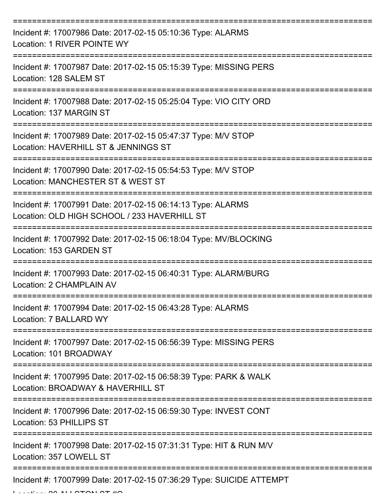| Incident #: 17007986 Date: 2017-02-15 05:10:36 Type: ALARMS<br>Location: 1 RIVER POINTE WY                  |
|-------------------------------------------------------------------------------------------------------------|
| Incident #: 17007987 Date: 2017-02-15 05:15:39 Type: MISSING PERS<br>Location: 128 SALEM ST                 |
| Incident #: 17007988 Date: 2017-02-15 05:25:04 Type: VIO CITY ORD<br>Location: 137 MARGIN ST                |
| Incident #: 17007989 Date: 2017-02-15 05:47:37 Type: M/V STOP<br>Location: HAVERHILL ST & JENNINGS ST       |
| Incident #: 17007990 Date: 2017-02-15 05:54:53 Type: M/V STOP<br>Location: MANCHESTER ST & WEST ST          |
| Incident #: 17007991 Date: 2017-02-15 06:14:13 Type: ALARMS<br>Location: OLD HIGH SCHOOL / 233 HAVERHILL ST |
| Incident #: 17007992 Date: 2017-02-15 06:18:04 Type: MV/BLOCKING<br>Location: 153 GARDEN ST                 |
| Incident #: 17007993 Date: 2017-02-15 06:40:31 Type: ALARM/BURG<br>Location: 2 CHAMPLAIN AV                 |
| Incident #: 17007994 Date: 2017-02-15 06:43:28 Type: ALARMS<br>Location: 7 BALLARD WY                       |
| Incident #: 17007997 Date: 2017-02-15 06:56:39 Type: MISSING PERS<br>Location: 101 BROADWAY                 |
| Incident #: 17007995 Date: 2017-02-15 06:58:39 Type: PARK & WALK<br>Location: BROADWAY & HAVERHILL ST       |
| Incident #: 17007996 Date: 2017-02-15 06:59:30 Type: INVEST CONT<br>Location: 53 PHILLIPS ST                |
| Incident #: 17007998 Date: 2017-02-15 07:31:31 Type: HIT & RUN M/V<br>Location: 357 LOWELL ST               |
| Incident #: 17007999 Date: 2017-02-15 07:36:29 Type: SUICIDE ATTEMPT                                        |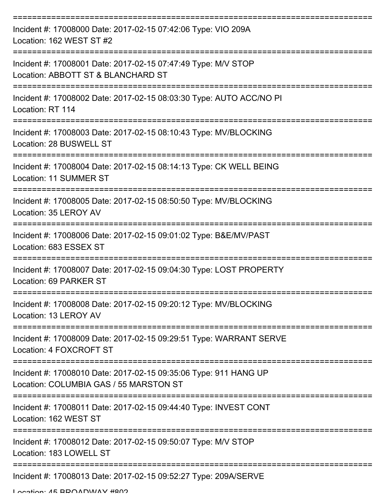| Incident #: 17008000 Date: 2017-02-15 07:42:06 Type: VIO 209A<br>Location: 162 WEST ST #2                  |
|------------------------------------------------------------------------------------------------------------|
| Incident #: 17008001 Date: 2017-02-15 07:47:49 Type: M/V STOP<br>Location: ABBOTT ST & BLANCHARD ST        |
| Incident #: 17008002 Date: 2017-02-15 08:03:30 Type: AUTO ACC/NO PI<br>Location: RT 114                    |
| Incident #: 17008003 Date: 2017-02-15 08:10:43 Type: MV/BLOCKING<br>Location: 28 BUSWELL ST                |
| Incident #: 17008004 Date: 2017-02-15 08:14:13 Type: CK WELL BEING<br>Location: 11 SUMMER ST               |
| Incident #: 17008005 Date: 2017-02-15 08:50:50 Type: MV/BLOCKING<br>Location: 35 LEROY AV                  |
| Incident #: 17008006 Date: 2017-02-15 09:01:02 Type: B&E/MV/PAST<br>Location: 683 ESSEX ST                 |
| Incident #: 17008007 Date: 2017-02-15 09:04:30 Type: LOST PROPERTY<br>Location: 69 PARKER ST               |
| Incident #: 17008008 Date: 2017-02-15 09:20:12 Type: MV/BLOCKING<br>Location: 13 LEROY AV                  |
| Incident #: 17008009 Date: 2017-02-15 09:29:51 Type: WARRANT SERVE<br>Location: 4 FOXCROFT ST              |
| Incident #: 17008010 Date: 2017-02-15 09:35:06 Type: 911 HANG UP<br>Location: COLUMBIA GAS / 55 MARSTON ST |
| Incident #: 17008011 Date: 2017-02-15 09:44:40 Type: INVEST CONT<br>Location: 162 WEST ST                  |
| Incident #: 17008012 Date: 2017-02-15 09:50:07 Type: M/V STOP<br>Location: 183 LOWELL ST                   |
| Incident #: 17008013 Date: 2017-02-15 09:52:27 Type: 209A/SERVE                                            |

Location: 45 BBOADWAY #802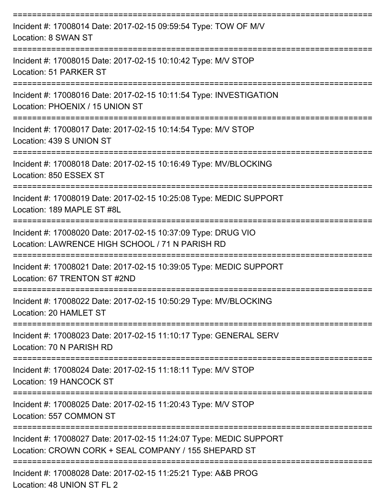| Incident #: 17008014 Date: 2017-02-15 09:59:54 Type: TOW OF M/V<br>Location: 8 SWAN ST                                     |
|----------------------------------------------------------------------------------------------------------------------------|
| Incident #: 17008015 Date: 2017-02-15 10:10:42 Type: M/V STOP<br>Location: 51 PARKER ST                                    |
| Incident #: 17008016 Date: 2017-02-15 10:11:54 Type: INVESTIGATION<br>Location: PHOENIX / 15 UNION ST                      |
| Incident #: 17008017 Date: 2017-02-15 10:14:54 Type: M/V STOP<br>Location: 439 S UNION ST                                  |
| Incident #: 17008018 Date: 2017-02-15 10:16:49 Type: MV/BLOCKING<br>Location: 850 ESSEX ST                                 |
| Incident #: 17008019 Date: 2017-02-15 10:25:08 Type: MEDIC SUPPORT<br>Location: 189 MAPLE ST #8L                           |
| Incident #: 17008020 Date: 2017-02-15 10:37:09 Type: DRUG VIO<br>Location: LAWRENCE HIGH SCHOOL / 71 N PARISH RD           |
| Incident #: 17008021 Date: 2017-02-15 10:39:05 Type: MEDIC SUPPORT<br>Location: 67 TRENTON ST #2ND                         |
| Incident #: 17008022 Date: 2017-02-15 10:50:29 Type: MV/BLOCKING<br>Location: 20 HAMLET ST                                 |
| Incident #: 17008023 Date: 2017-02-15 11:10:17 Type: GENERAL SERV<br>Location: 70 N PARISH RD                              |
| Incident #: 17008024 Date: 2017-02-15 11:18:11 Type: M/V STOP<br>Location: 19 HANCOCK ST                                   |
| Incident #: 17008025 Date: 2017-02-15 11:20:43 Type: M/V STOP<br>Location: 557 COMMON ST                                   |
| Incident #: 17008027 Date: 2017-02-15 11:24:07 Type: MEDIC SUPPORT<br>Location: CROWN CORK + SEAL COMPANY / 155 SHEPARD ST |
| Incident #: 17008028 Date: 2017-02-15 11:25:21 Type: A&B PROG<br>Location: 48 UNION ST FL 2                                |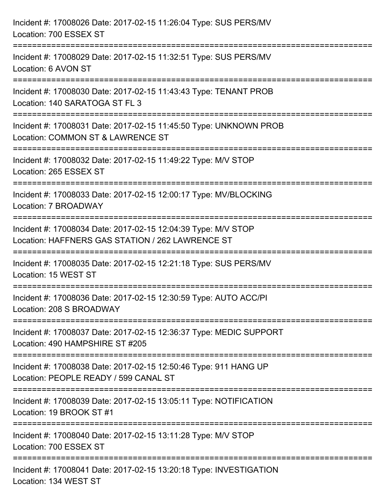| Incident #: 17008026 Date: 2017-02-15 11:26:04 Type: SUS PERS/MV<br>Location: 700 ESSEX ST                                           |
|--------------------------------------------------------------------------------------------------------------------------------------|
| Incident #: 17008029 Date: 2017-02-15 11:32:51 Type: SUS PERS/MV<br>Location: 6 AVON ST                                              |
| Incident #: 17008030 Date: 2017-02-15 11:43:43 Type: TENANT PROB<br>Location: 140 SARATOGA ST FL 3<br>============================== |
| Incident #: 17008031 Date: 2017-02-15 11:45:50 Type: UNKNOWN PROB<br>Location: COMMON ST & LAWRENCE ST                               |
| Incident #: 17008032 Date: 2017-02-15 11:49:22 Type: M/V STOP<br>Location: 265 ESSEX ST<br>=========================                 |
| Incident #: 17008033 Date: 2017-02-15 12:00:17 Type: MV/BLOCKING<br>Location: 7 BROADWAY                                             |
| Incident #: 17008034 Date: 2017-02-15 12:04:39 Type: M/V STOP<br>Location: HAFFNERS GAS STATION / 262 LAWRENCE ST                    |
| Incident #: 17008035 Date: 2017-02-15 12:21:18 Type: SUS PERS/MV<br>Location: 15 WEST ST                                             |
| Incident #: 17008036 Date: 2017-02-15 12:30:59 Type: AUTO ACC/PI<br>Location: 208 S BROADWAY                                         |
| Incident #: 17008037 Date: 2017-02-15 12:36:37 Type: MEDIC SUPPORT<br>Location: 490 HAMPSHIRE ST #205                                |
| Incident #: 17008038 Date: 2017-02-15 12:50:46 Type: 911 HANG UP<br>Location: PEOPLE READY / 599 CANAL ST                            |
| Incident #: 17008039 Date: 2017-02-15 13:05:11 Type: NOTIFICATION<br>Location: 19 BROOK ST #1                                        |
| Incident #: 17008040 Date: 2017-02-15 13:11:28 Type: M/V STOP<br>Location: 700 ESSEX ST                                              |
| Incident #: 17008041 Date: 2017-02-15 13:20:18 Type: INVESTIGATION<br>Location: 134 WEST ST                                          |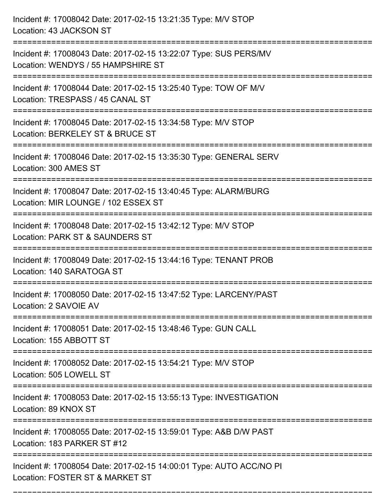| Incident #: 17008042 Date: 2017-02-15 13:21:35 Type: M/V STOP<br>Location: 43 JACKSON ST                                             |
|--------------------------------------------------------------------------------------------------------------------------------------|
| Incident #: 17008043 Date: 2017-02-15 13:22:07 Type: SUS PERS/MV<br>Location: WENDYS / 55 HAMPSHIRE ST                               |
| Incident #: 17008044 Date: 2017-02-15 13:25:40 Type: TOW OF M/V<br>Location: TRESPASS / 45 CANAL ST<br>============================= |
| Incident #: 17008045 Date: 2017-02-15 13:34:58 Type: M/V STOP<br>Location: BERKELEY ST & BRUCE ST                                    |
| Incident #: 17008046 Date: 2017-02-15 13:35:30 Type: GENERAL SERV<br>Location: 300 AMES ST                                           |
| Incident #: 17008047 Date: 2017-02-15 13:40:45 Type: ALARM/BURG<br>Location: MIR LOUNGE / 102 ESSEX ST                               |
| Incident #: 17008048 Date: 2017-02-15 13:42:12 Type: M/V STOP<br>Location: PARK ST & SAUNDERS ST<br>=============                    |
| Incident #: 17008049 Date: 2017-02-15 13:44:16 Type: TENANT PROB<br>Location: 140 SARATOGA ST                                        |
| Incident #: 17008050 Date: 2017-02-15 13:47:52 Type: LARCENY/PAST<br>Location: 2 SAVOIE AV                                           |
| Incident #: 17008051 Date: 2017-02-15 13:48:46 Type: GUN CALL<br>Location: 155 ABBOTT ST<br>---------------------------------        |
| Incident #: 17008052 Date: 2017-02-15 13:54:21 Type: M/V STOP<br>Location: 505 LOWELL ST                                             |
| Incident #: 17008053 Date: 2017-02-15 13:55:13 Type: INVESTIGATION<br>Location: 89 KNOX ST                                           |
| Incident #: 17008055 Date: 2017-02-15 13:59:01 Type: A&B D/W PAST<br>Location: 183 PARKER ST #12                                     |
| Incident #: 17008054 Date: 2017-02-15 14:00:01 Type: AUTO ACC/NO PI<br>Location: FOSTER ST & MARKET ST                               |

===========================================================================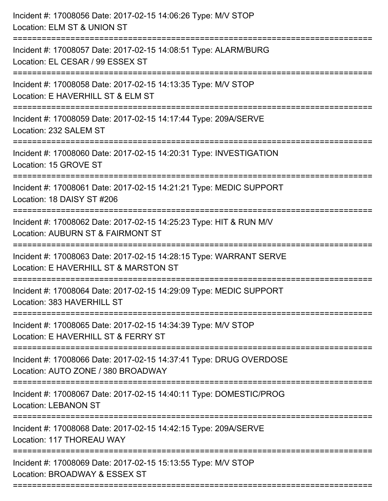| Incident #: 17008056 Date: 2017-02-15 14:06:26 Type: M/V STOP<br>Location: ELM ST & UNION ST                                                |
|---------------------------------------------------------------------------------------------------------------------------------------------|
| ====================================<br>Incident #: 17008057 Date: 2017-02-15 14:08:51 Type: ALARM/BURG<br>Location: EL CESAR / 99 ESSEX ST |
| Incident #: 17008058 Date: 2017-02-15 14:13:35 Type: M/V STOP<br>Location: E HAVERHILL ST & ELM ST                                          |
| Incident #: 17008059 Date: 2017-02-15 14:17:44 Type: 209A/SERVE<br>Location: 232 SALEM ST                                                   |
| Incident #: 17008060 Date: 2017-02-15 14:20:31 Type: INVESTIGATION<br>Location: 15 GROVE ST                                                 |
| Incident #: 17008061 Date: 2017-02-15 14:21:21 Type: MEDIC SUPPORT<br>Location: 18 DAISY ST #206                                            |
| ==================<br>Incident #: 17008062 Date: 2017-02-15 14:25:23 Type: HIT & RUN M/V<br>Location: AUBURN ST & FAIRMONT ST               |
| Incident #: 17008063 Date: 2017-02-15 14:28:15 Type: WARRANT SERVE<br>Location: E HAVERHILL ST & MARSTON ST                                 |
| Incident #: 17008064 Date: 2017-02-15 14:29:09 Type: MEDIC SUPPORT<br>Location: 383 HAVERHILL ST                                            |
| Incident #: 17008065 Date: 2017-02-15 14:34:39 Type: M/V STOP<br>Location: E HAVERHILL ST & FERRY ST                                        |
| Incident #: 17008066 Date: 2017-02-15 14:37:41 Type: DRUG OVERDOSE<br>Location: AUTO ZONE / 380 BROADWAY                                    |
| Incident #: 17008067 Date: 2017-02-15 14:40:11 Type: DOMESTIC/PROG<br><b>Location: LEBANON ST</b>                                           |
| Incident #: 17008068 Date: 2017-02-15 14:42:15 Type: 209A/SERVE<br>Location: 117 THOREAU WAY                                                |
| Incident #: 17008069 Date: 2017-02-15 15:13:55 Type: M/V STOP<br>Location: BROADWAY & ESSEX ST                                              |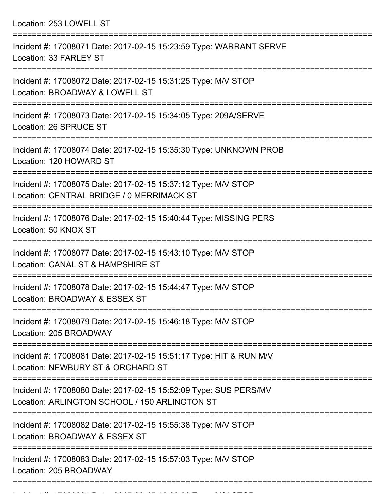Location: 253 LOWELL ST

| Incident #: 17008071 Date: 2017-02-15 15:23:59 Type: WARRANT SERVE<br>Location: 33 FARLEY ST                                      |
|-----------------------------------------------------------------------------------------------------------------------------------|
| Incident #: 17008072 Date: 2017-02-15 15:31:25 Type: M/V STOP<br>Location: BROADWAY & LOWELL ST                                   |
| Incident #: 17008073 Date: 2017-02-15 15:34:05 Type: 209A/SERVE<br>Location: 26 SPRUCE ST                                         |
| Incident #: 17008074 Date: 2017-02-15 15:35:30 Type: UNKNOWN PROB<br>Location: 120 HOWARD ST                                      |
| Incident #: 17008075 Date: 2017-02-15 15:37:12 Type: M/V STOP<br>Location: CENTRAL BRIDGE / 0 MERRIMACK ST                        |
| Incident #: 17008076 Date: 2017-02-15 15:40:44 Type: MISSING PERS<br>Location: 50 KNOX ST                                         |
| Incident #: 17008077 Date: 2017-02-15 15:43:10 Type: M/V STOP<br>Location: CANAL ST & HAMPSHIRE ST                                |
| Incident #: 17008078 Date: 2017-02-15 15:44:47 Type: M/V STOP<br>Location: BROADWAY & ESSEX ST                                    |
| Incident #: 17008079 Date: 2017-02-15 15:46:18 Type: M/V STOP<br>Location: 205 BROADWAY                                           |
| Incident #: 17008081 Date: 2017-02-15 15:51:17 Type: HIT & RUN M/V<br>Location: NEWBURY ST & ORCHARD ST                           |
| Incident #: 17008080 Date: 2017-02-15 15:52:09 Type: SUS PERS/MV<br>Location: ARLINGTON SCHOOL / 150 ARLINGTON ST                 |
| ===============================<br>Incident #: 17008082 Date: 2017-02-15 15:55:38 Type: M/V STOP<br>Location: BROADWAY & ESSEX ST |
| Incident #: 17008083 Date: 2017-02-15 15:57:03 Type: M/V STOP<br>Location: 205 BROADWAY                                           |
|                                                                                                                                   |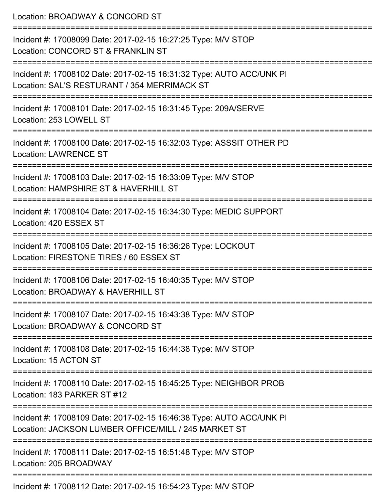| Location: BROADWAY & CONCORD ST                                                                                                                                           |
|---------------------------------------------------------------------------------------------------------------------------------------------------------------------------|
| Incident #: 17008099 Date: 2017-02-15 16:27:25 Type: M/V STOP<br>Location: CONCORD ST & FRANKLIN ST                                                                       |
| Incident #: 17008102 Date: 2017-02-15 16:31:32 Type: AUTO ACC/UNK PI<br>Location: SAL'S RESTURANT / 354 MERRIMACK ST                                                      |
| Incident #: 17008101 Date: 2017-02-15 16:31:45 Type: 209A/SERVE<br>Location: 253 LOWELL ST                                                                                |
| Incident #: 17008100 Date: 2017-02-15 16:32:03 Type: ASSSIT OTHER PD<br><b>Location: LAWRENCE ST</b>                                                                      |
| Incident #: 17008103 Date: 2017-02-15 16:33:09 Type: M/V STOP<br>Location: HAMPSHIRE ST & HAVERHILL ST                                                                    |
| Incident #: 17008104 Date: 2017-02-15 16:34:30 Type: MEDIC SUPPORT<br>Location: 420 ESSEX ST                                                                              |
| Incident #: 17008105 Date: 2017-02-15 16:36:26 Type: LOCKOUT<br>Location: FIRESTONE TIRES / 60 ESSEX ST<br>===============================<br>--------------------------- |
| Incident #: 17008106 Date: 2017-02-15 16:40:35 Type: M/V STOP<br>Location: BROADWAY & HAVERHILL ST                                                                        |
| Incident #: 17008107 Date: 2017-02-15 16:43:38 Type: M/V STOP<br>Location: BROADWAY & CONCORD ST                                                                          |
| Incident #: 17008108 Date: 2017-02-15 16:44:38 Type: M/V STOP<br>Location: 15 ACTON ST                                                                                    |
| Incident #: 17008110 Date: 2017-02-15 16:45:25 Type: NEIGHBOR PROB<br>Location: 183 PARKER ST #12                                                                         |
| Incident #: 17008109 Date: 2017-02-15 16:46:38 Type: AUTO ACC/UNK PI<br>Location: JACKSON LUMBER OFFICE/MILL / 245 MARKET ST                                              |
| Incident #: 17008111 Date: 2017-02-15 16:51:48 Type: M/V STOP<br>Location: 205 BROADWAY                                                                                   |
|                                                                                                                                                                           |

Incident #: 17008112 Date: 2017-02-15 16:54:23 Type: M/V STOP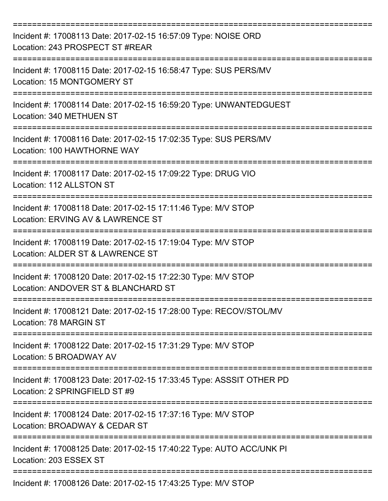| Incident #: 17008113 Date: 2017-02-15 16:57:09 Type: NOISE ORD<br>Location: 243 PROSPECT ST #REAR                           |
|-----------------------------------------------------------------------------------------------------------------------------|
| Incident #: 17008115 Date: 2017-02-15 16:58:47 Type: SUS PERS/MV<br>Location: 15 MONTGOMERY ST                              |
| Incident #: 17008114 Date: 2017-02-15 16:59:20 Type: UNWANTEDGUEST<br>Location: 340 METHUEN ST                              |
| Incident #: 17008116 Date: 2017-02-15 17:02:35 Type: SUS PERS/MV<br>Location: 100 HAWTHORNE WAY                             |
| Incident #: 17008117 Date: 2017-02-15 17:09:22 Type: DRUG VIO<br>Location: 112 ALLSTON ST<br>============================== |
| Incident #: 17008118 Date: 2017-02-15 17:11:46 Type: M/V STOP<br>Location: ERVING AV & LAWRENCE ST                          |
| Incident #: 17008119 Date: 2017-02-15 17:19:04 Type: M/V STOP<br>Location: ALDER ST & LAWRENCE ST                           |
| Incident #: 17008120 Date: 2017-02-15 17:22:30 Type: M/V STOP<br>Location: ANDOVER ST & BLANCHARD ST                        |
| Incident #: 17008121 Date: 2017-02-15 17:28:00 Type: RECOV/STOL/MV<br>Location: 78 MARGIN ST                                |
| Incident #: 17008122 Date: 2017-02-15 17:31:29 Type: M/V STOP<br>Location: 5 BROADWAY AV                                    |
| Incident #: 17008123 Date: 2017-02-15 17:33:45 Type: ASSSIT OTHER PD<br>Location: 2 SPRINGFIELD ST #9                       |
| Incident #: 17008124 Date: 2017-02-15 17:37:16 Type: M/V STOP<br>Location: BROADWAY & CEDAR ST                              |
| Incident #: 17008125 Date: 2017-02-15 17:40:22 Type: AUTO ACC/UNK PI<br>Location: 203 ESSEX ST                              |
| Incident #: 17008126 Date: 2017-02-15 17:43:25 Type: M/V STOP                                                               |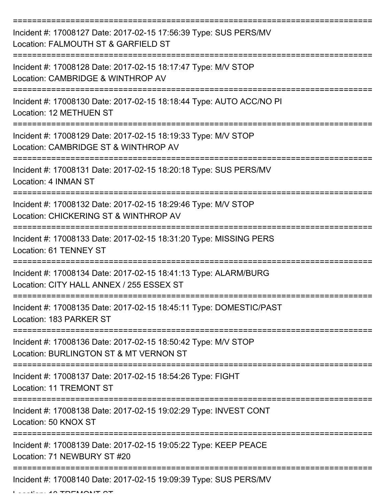| Incident #: 17008127 Date: 2017-02-15 17:56:39 Type: SUS PERS/MV<br>Location: FALMOUTH ST & GARFIELD ST           |
|-------------------------------------------------------------------------------------------------------------------|
| Incident #: 17008128 Date: 2017-02-15 18:17:47 Type: M/V STOP<br>Location: CAMBRIDGE & WINTHROP AV                |
| Incident #: 17008130 Date: 2017-02-15 18:18:44 Type: AUTO ACC/NO PI<br>Location: 12 METHUEN ST                    |
| Incident #: 17008129 Date: 2017-02-15 18:19:33 Type: M/V STOP<br>Location: CAMBRIDGE ST & WINTHROP AV             |
| Incident #: 17008131 Date: 2017-02-15 18:20:18 Type: SUS PERS/MV<br>Location: 4 INMAN ST                          |
| Incident #: 17008132 Date: 2017-02-15 18:29:46 Type: M/V STOP<br>Location: CHICKERING ST & WINTHROP AV            |
| ------------------<br>Incident #: 17008133 Date: 2017-02-15 18:31:20 Type: MISSING PERS<br>Location: 61 TENNEY ST |
| Incident #: 17008134 Date: 2017-02-15 18:41:13 Type: ALARM/BURG<br>Location: CITY HALL ANNEX / 255 ESSEX ST       |
| Incident #: 17008135 Date: 2017-02-15 18:45:11 Type: DOMESTIC/PAST<br>Location: 183 PARKER ST                     |
| Incident #: 17008136 Date: 2017-02-15 18:50:42 Type: M/V STOP<br>Location: BURLINGTON ST & MT VERNON ST           |
| Incident #: 17008137 Date: 2017-02-15 18:54:26 Type: FIGHT<br><b>Location: 11 TREMONT ST</b>                      |
| Incident #: 17008138 Date: 2017-02-15 19:02:29 Type: INVEST CONT<br>Location: 50 KNOX ST                          |
| Incident #: 17008139 Date: 2017-02-15 19:05:22 Type: KEEP PEACE<br>Location: 71 NEWBURY ST #20                    |
| Incident #: 17008140 Date: 2017-02-15 19:09:39 Type: SUS PERS/MV                                                  |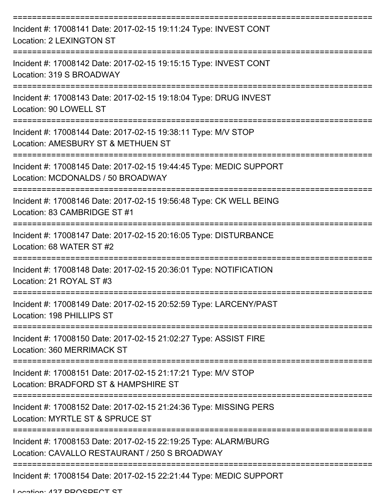| Incident #: 17008141 Date: 2017-02-15 19:11:24 Type: INVEST CONT<br>Location: 2 LEXINGTON ST                                           |
|----------------------------------------------------------------------------------------------------------------------------------------|
| Incident #: 17008142 Date: 2017-02-15 19:15:15 Type: INVEST CONT<br>Location: 319 S BROADWAY                                           |
| Incident #: 17008143 Date: 2017-02-15 19:18:04 Type: DRUG INVEST<br>Location: 90 LOWELL ST                                             |
| Incident #: 17008144 Date: 2017-02-15 19:38:11 Type: M/V STOP<br>Location: AMESBURY ST & METHUEN ST                                    |
| Incident #: 17008145 Date: 2017-02-15 19:44:45 Type: MEDIC SUPPORT<br>Location: MCDONALDS / 50 BROADWAY                                |
| Incident #: 17008146 Date: 2017-02-15 19:56:48 Type: CK WELL BEING<br>Location: 83 CAMBRIDGE ST #1                                     |
| ======================================<br>Incident #: 17008147 Date: 2017-02-15 20:16:05 Type: DISTURBANCE<br>Location: 68 WATER ST #2 |
| Incident #: 17008148 Date: 2017-02-15 20:36:01 Type: NOTIFICATION<br>Location: 21 ROYAL ST #3                                          |
| Incident #: 17008149 Date: 2017-02-15 20:52:59 Type: LARCENY/PAST<br>Location: 198 PHILLIPS ST                                         |
| Incident #: 17008150 Date: 2017-02-15 21:02:27 Type: ASSIST FIRE<br>Location: 360 MERRIMACK ST                                         |
| Incident #: 17008151 Date: 2017-02-15 21:17:21 Type: M/V STOP<br>Location: BRADFORD ST & HAMPSHIRE ST                                  |
| Incident #: 17008152 Date: 2017-02-15 21:24:36 Type: MISSING PERS<br>Location: MYRTLE ST & SPRUCE ST                                   |
| Incident #: 17008153 Date: 2017-02-15 22:19:25 Type: ALARM/BURG<br>Location: CAVALLO RESTAURANT / 250 S BROADWAY                       |
| Incident #: 17008154 Date: 2017-02-15 22:21:44 Type: MEDIC SUPPORT                                                                     |

Location: 437 DDOSDECT ST